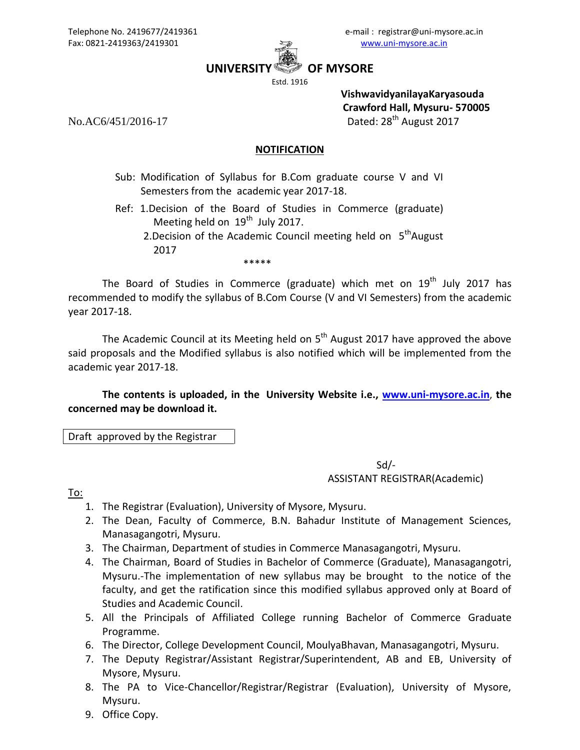

**UNIVERSITY OF MYSORE**

Estd. 1916

**VishwavidyanilayaKaryasouda Crawford Hall, Mysuru- 570005** No.AC6/451/2016-17 Dated: 28<sup>th</sup> August 2017

## **NOTIFICATION**

- Sub: Modification of Syllabus for B.Com graduate course V and VI Semesters from the academic year 2017-18.
- Ref: 1.Decision of the Board of Studies in Commerce (graduate) Meeting held on  $19<sup>th</sup>$  July 2017.
	- 2.Decision of the Academic Council meeting held on  $5<sup>th</sup>$ August 2017

The Board of Studies in Commerce (graduate) which met on  $19<sup>th</sup>$  July 2017 has recommended to modify the syllabus of B.Com Course (V and VI Semesters) from the academic year 2017-18.

The Academic Council at its Meeting held on 5<sup>th</sup> August 2017 have approved the above said proposals and the Modified syllabus is also notified which will be implemented from the academic year 2017-18.

**The contents is uploaded, in the University Website i.e., [www.uni-mysore.ac.in](http://www.uni-mysore.ac.in/)**, **the concerned may be download it.**

Draft approved by the Registrar

\*\*\*\*\*

 $Sd$ ASSISTANT REGISTRAR(Academic)

To:

- 1. The Registrar (Evaluation), University of Mysore, Mysuru.
- 2. The Dean, Faculty of Commerce, B.N. Bahadur Institute of Management Sciences, Manasagangotri, Mysuru.
- 3. The Chairman, Department of studies in Commerce Manasagangotri, Mysuru.
- 4. The Chairman, Board of Studies in Bachelor of Commerce (Graduate), Manasagangotri, Mysuru.-The implementation of new syllabus may be brought to the notice of the faculty, and get the ratification since this modified syllabus approved only at Board of Studies and Academic Council.
- 5. All the Principals of Affiliated College running Bachelor of Commerce Graduate Programme.
- 6. The Director, College Development Council, MoulyaBhavan, Manasagangotri, Mysuru.
- 7. The Deputy Registrar/Assistant Registrar/Superintendent, AB and EB, University of Mysore, Mysuru.
- 8. The PA to Vice-Chancellor/Registrar/Registrar (Evaluation), University of Mysore, Mysuru.
- 9. Office Copy.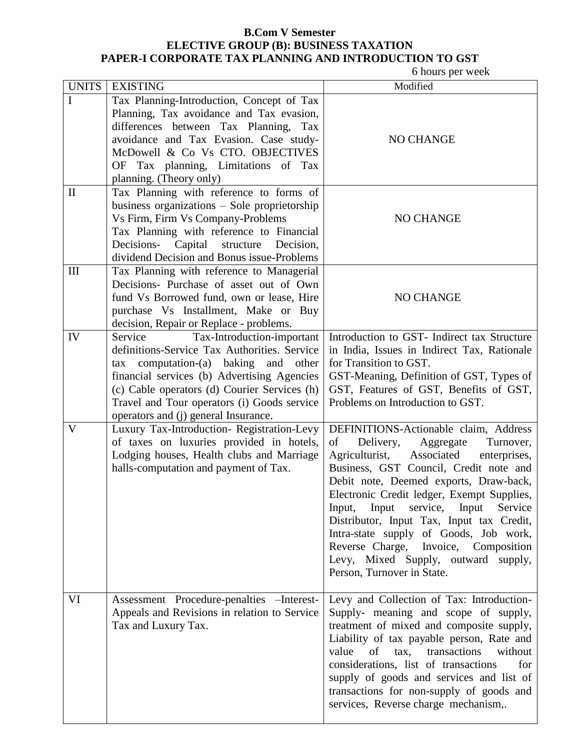## **B.Com V Semester ELECTIVE GROUP (B): BUSINESS TAXATION PAPER-I CORPORATE TAX PLANNING AND INTRODUCTION TO GST**

6 hours per week

| <b>UNITS</b> | <b>EXISTING</b>                                                                            | Modified                                                                                    |
|--------------|--------------------------------------------------------------------------------------------|---------------------------------------------------------------------------------------------|
| $\mathbf I$  | Tax Planning-Introduction, Concept of Tax                                                  |                                                                                             |
|              | Planning, Tax avoidance and Tax evasion,                                                   |                                                                                             |
|              | differences between Tax Planning, Tax                                                      |                                                                                             |
|              | avoidance and Tax Evasion. Case study-                                                     | NO CHANGE                                                                                   |
|              | McDowell & Co Vs CTO. OBJECTIVES                                                           |                                                                                             |
|              | OF Tax planning, Limitations of Tax                                                        |                                                                                             |
|              | planning. (Theory only)                                                                    |                                                                                             |
| $\mathbf{I}$ | Tax Planning with reference to forms of                                                    |                                                                                             |
|              | business organizations $-$ Sole proprietorship                                             |                                                                                             |
|              | Vs Firm, Firm Vs Company-Problems                                                          | NO CHANGE                                                                                   |
|              | Tax Planning with reference to Financial                                                   |                                                                                             |
|              | Decisions- Capital structure<br>Decision,                                                  |                                                                                             |
|              | dividend Decision and Bonus issue-Problems                                                 |                                                                                             |
| III          | Tax Planning with reference to Managerial                                                  |                                                                                             |
|              | Decisions- Purchase of asset out of Own                                                    |                                                                                             |
|              | fund Vs Borrowed fund, own or lease, Hire                                                  | NO CHANGE                                                                                   |
|              | purchase Vs Installment, Make or Buy                                                       |                                                                                             |
|              | decision, Repair or Replace - problems.                                                    |                                                                                             |
| IV           | Tax-Introduction-important<br>Service                                                      | Introduction to GST- Indirect tax Structure                                                 |
|              | definitions-Service Tax Authorities. Service                                               | in India, Issues in Indirect Tax, Rationale                                                 |
|              | tax computation-(a) baking and<br>other                                                    | for Transition to GST.                                                                      |
|              | financial services (b) Advertising Agencies                                                | GST-Meaning, Definition of GST, Types of                                                    |
|              | (c) Cable operators (d) Courier Services (h)                                               | GST, Features of GST, Benefits of GST,                                                      |
|              | Travel and Tour operators (i) Goods service                                                | Problems on Introduction to GST.                                                            |
|              | operators and (j) general Insurance.                                                       |                                                                                             |
| $\mathbf{V}$ | Luxury Tax-Introduction- Registration-Levy                                                 | DEFINITIONS-Actionable claim, Address                                                       |
|              | of taxes on luxuries provided in hotels,                                                   | of<br>Delivery,<br>Aggregate<br>Turnover,                                                   |
|              | Lodging houses, Health clubs and Marriage                                                  | Agriculturist,<br>Associated<br>enterprises,                                                |
|              | halls-computation and payment of Tax.                                                      | Business, GST Council, Credit note and                                                      |
|              |                                                                                            | Debit note, Deemed exports, Draw-back,                                                      |
|              |                                                                                            | Electronic Credit ledger, Exempt Supplies,                                                  |
|              |                                                                                            | service, Input<br>Input, Input<br>Service                                                   |
|              |                                                                                            | Distributor, Input Tax, Input tax Credit,                                                   |
|              |                                                                                            | Intra-state supply of Goods, Job work,                                                      |
|              |                                                                                            | Reverse Charge, Invoice, Composition                                                        |
|              |                                                                                            | Levy, Mixed Supply, outward supply,                                                         |
|              |                                                                                            | Person, Turnover in State.                                                                  |
| VI           |                                                                                            |                                                                                             |
|              | Assessment Procedure-penalties - Interest-<br>Appeals and Revisions in relation to Service | Levy and Collection of Tax: Introduction-<br>Supply- meaning and scope of supply,           |
|              |                                                                                            |                                                                                             |
|              | Tax and Luxury Tax.                                                                        | treatment of mixed and composite supply,                                                    |
|              |                                                                                            | Liability of tax payable person, Rate and<br>value<br>tax,<br>transactions<br>without<br>of |
|              |                                                                                            | for                                                                                         |
|              |                                                                                            | considerations, list of transactions                                                        |
|              |                                                                                            | supply of goods and services and list of                                                    |
|              |                                                                                            | transactions for non-supply of goods and                                                    |
|              |                                                                                            | services, Reverse charge mechanism,.                                                        |
|              |                                                                                            |                                                                                             |